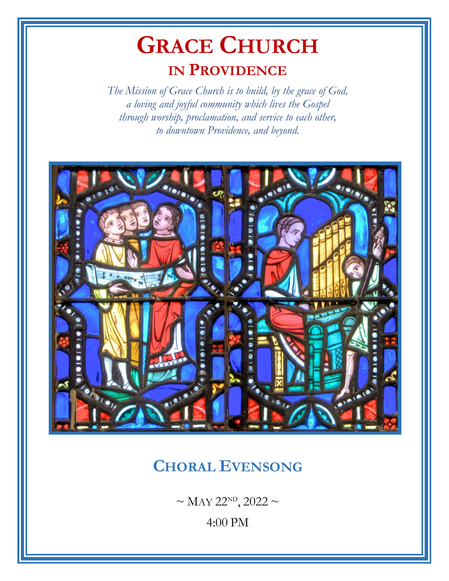# **GRACE CHURCH IN PROVIDENCE**

*The Mission of Grace Church is to build, by the grace of God, a loving and joyful community which lives the Gospel through worship, proclamation, and service to each other, to downtown Providence, and beyond.*



## **CHORAL EVENSONG**

 $\sim$  MAY 22<sup>ND</sup>, 2022  $\sim$ 

4:00 PM

–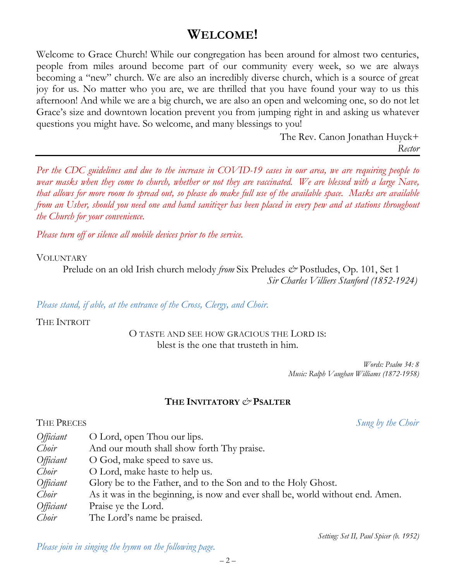### **WELCOME!**

Welcome to Grace Church! While our congregation has been around for almost two centuries, people from miles around become part of our community every week, so we are always becoming a "new" church. We are also an incredibly diverse church, which is a source of great joy for us. No matter who you are, we are thrilled that you have found your way to us this afternoon! And while we are a big church, we are also an open and welcoming one, so do not let Grace's size and downtown location prevent you from jumping right in and asking us whatever questions you might have. So welcome, and many blessings to you!

> The Rev. Canon Jonathan Huyck+ *Rector*

*Per the CDC guidelines and due to the increase in COVID-19 cases in our area, we are requiring people to wear masks when they come to church, whether or not they are vaccinated. We are blessed with a large Nave, that allows for more room to spread out, so please do make full use of the available space. Masks are available from an Usher, should you need one and hand sanitizer has been placed in every pew and at stations throughout the Church for your convenience.*

*Please turn off or silence all mobile devices prior to the service.*

#### **VOLUNTARY**

Prelude on an old Irish church melody *from* Six Preludes *&* Postludes, Op. 101, Set 1 *Sir Charles Villiers Stanford (1852-1924)*

*Please stand, if able, at the entrance of the Cross, Clergy, and Choir.*

THE INTROIT

O TASTE AND SEE HOW GRACIOUS THE LORD IS: blest is the one that trusteth in him.

> *Words: Psalm 34: 8 Music: Ralph Vaughan Williams (1872-1958)*

#### **THE INVITATORY** *&* **PSALTER**

THE PRECES *Sung by the Choir*

| Officiant | O Lord, open Thou our lips.                                                    |
|-----------|--------------------------------------------------------------------------------|
| Choir     | And our mouth shall show forth Thy praise.                                     |
| Officiant | O God, make speed to save us.                                                  |
| Choir     | O Lord, make haste to help us.                                                 |
| Officiant | Glory be to the Father, and to the Son and to the Holy Ghost.                  |
| Choir     | As it was in the beginning, is now and ever shall be, world without end. Amen. |
| Officiant | Praise ye the Lord.                                                            |
| Choir     | The Lord's name be praised.                                                    |

*Setting: Set II, Paul Spicer (b. 1952)*

*Please join in singing the hymn on the following page.*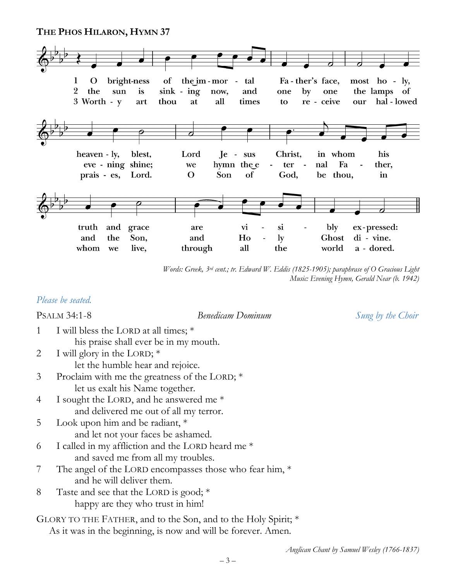#### **THE PHOS HILARON, HYMN 37**



*Words: Greek, 3rd cent.; tr. Edward W. Eddis (1825-1905); paraphrase of O Gracious Light Music: Evening Hymn, Gerald Near (b. 1942)*

#### *Please be seated.*

PSALM 34:1-8 *Benedicam Dominum Sung by the Choir*

- 1 I will bless the LORD at all times; \* his praise shall ever be in my mouth.
- 2 I will glory in the LORD;  $*$ let the humble hear and rejoice.
- 3 Proclaim with me the greatness of the LORD; \* let us exalt his Name together.
- 4 I sought the LORD, and he answered me \* and delivered me out of all my terror.
- 5 Look upon him and be radiant, \* and let not your faces be ashamed.
- 6 I called in my affliction and the LORD heard me \* and saved me from all my troubles.
- 7 The angel of the LORD encompasses those who fear him, \* and he will deliver them.
- 8 Taste and see that the LORD is good; \* happy are they who trust in him!
- GLORY TO THE FATHER, and to the Son, and to the Holy Spirit; \* As it was in the beginning, is now and will be forever. Amen.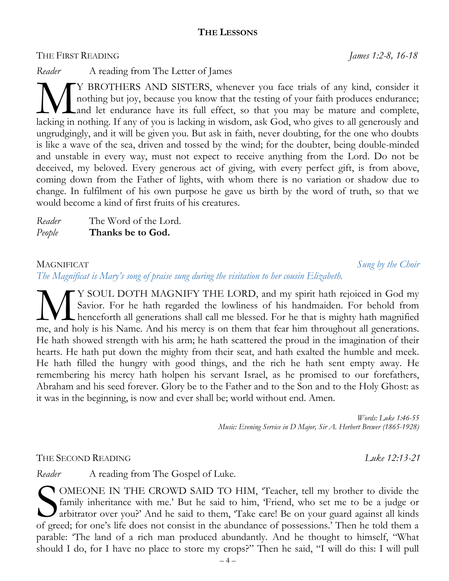#### **THE LESSONS**

THE FIRST READING *James 1:2-8, 16-18*

*Reader* A reading from The Letter of James

Y BROTHERS AND SISTERS, whenever you face trials of any kind, consider it nothing but joy, because you know that the testing of your faith produces endurance; Land let endurance have its full effect, so that you may be mature and complete, INTERS AND SISTERS, whenever you face trials of any kind, consider it nothing but joy, because you know that the testing of your faith produces endurance; lacking in nothing. If any of you is lacking in wisdom, ask God, wh ungrudgingly, and it will be given you. But ask in faith, never doubting, for the one who doubts is like a wave of the sea, driven and tossed by the wind; for the doubter, being double-minded and unstable in every way, must not expect to receive anything from the Lord. Do not be deceived, my beloved. Every generous act of giving, with every perfect gift, is from above, coming down from the Father of lights, with whom there is no variation or shadow due to change. In fulfilment of his own purpose he gave us birth by the word of truth, so that we would become a kind of first fruits of his creatures.

| Reader | The Word of the Lord. |
|--------|-----------------------|
| People | Thanks be to God.     |

MAGNIFICAT *Sung by the Choir*

*The Magnificat is Mary's song of praise sung during the visitation to her cousin Elizabeth.*

Y SOUL DOTH MAGNIFY THE LORD, and my spirit hath rejoiced in God my Savior. For he hath regarded the lowliness of his handmaiden. For behold from henceforth all generations shall call me blessed. For he that is mighty hath magnified WE SOUL DOTH MAGNIFY THE LORD, and my spirit hath rejoiced in God my Savior. For he hath regarded the lowliness of his handmaiden. For behold from henceforth all generations shall call me blessed. For he that is mighty hat He hath showed strength with his arm; he hath scattered the proud in the imagination of their hearts. He hath put down the mighty from their seat, and hath exalted the humble and meek. He hath filled the hungry with good things, and the rich he hath sent empty away. He remembering his mercy hath holpen his servant Israel, as he promised to our forefathers, Abraham and his seed forever. Glory be to the Father and to the Son and to the Holy Ghost: as it was in the beginning, is now and ever shall be; world without end. Amen.

> *Words: Luke 1:46-55 Music: Evening Service in D Major, Sir A. Herbert Brewer (1865-1928)*

THE SECOND READING *Luke 12:13-21* 

*Reader* A reading from The Gospel of Luke.

OMEONE IN THE CROWD SAID TO HIM, 'Teacher, tell my brother to divide the family inheritance with me.' But he said to him, 'Friend, who set me to be a judge or arbitrator over you?' And he said to them, 'Take care! Be on your guard against all kinds COMEONE IN THE CROWD SAID TO HIM, 'Teacher, tell my brother to divide the family inheritance with me.' But he said to him, 'Friend, who set me to be a judge or arbitrator over you?' And he said to them, 'Take care! Be on y parable: 'The land of a rich man produced abundantly. And he thought to himself, "What should I do, for I have no place to store my crops?" Then he said, "I will do this: I will pull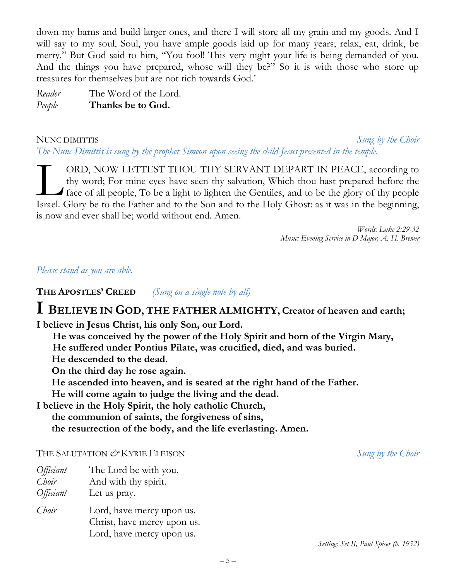down my barns and build larger ones, and there I will store all my grain and my goods. And I will say to my soul, Soul, you have ample goods laid up for many years; relax, eat, drink, be merry." But God said to him, "You fool! This very night your life is being demanded of you. And the things you have prepared, whose will they be?" So it is with those who store up treasures for themselves but are not rich towards God.'

*Reader* The Word of the Lord. *People* **Thanks be to God.**

NUNC DIMITTIS *Sung by the Choir The Nunc Dimittis is sung by the prophet Simeon upon seeing the child Jesus presented in the temple.*

ORD, NOW LETTEST THOU THY SERVANT DEPART IN PEACE, according to thy word; For mine eyes have seen thy salvation, Which thou hast prepared before the face of all people, To be a light to lighten the Gentiles, and to be the glory of thy people ORD, NOW LETTEST THOU THY SERVANT DEPART IN PEACE, according to thy word; For mine eyes have seen thy salvation, Which thou hast prepared before the face of all people, To be a light to lighten the Gentiles, and to be the is now and ever shall be; world without end. Amen.

> *Words: Luke 2:29-32 Music: Evening Service in D Major, A. H. Brewer*

#### *Please stand as you are able.*

**THE APOSTLES' CREED** *(Sung on a single note by all)*

### **I <sup>B</sup>ELIEVE IN <sup>G</sup>OD, THE FATHER ALMIGHTY, Creator of heaven and earth;**

**I believe in Jesus Christ, his only Son, our Lord.**

**He was conceived by the power of the Holy Spirit and born of the Virgin Mary,** **He suffered under Pontius Pilate, was crucified, died, and was buried. He descended to the dead.**

**On the third day he rose again.**

**He ascended into heaven, and is seated at the right hand of the Father.**

**He will come again to judge the living and the dead.**

**I believe in the Holy Spirit, the holy catholic Church, the communion of saints, the forgiveness of sins, the resurrection of the body, and the life everlasting. Amen.**

#### THE SALUTATION  $\mathcal O^*$  KYRIE ELEISON *Sung by the Choir*

| Officiant | The Lord be with you. |  |
|-----------|-----------------------|--|
|           |                       |  |

*Choir* And with thy spirit. *Officiant* Let us pray. *Choir* Lord, have mercy upon us. Christ, have mercy upon us.

Lord, have mercy upon us.

*Setting: Set II, Paul Spicer (b. 1952)*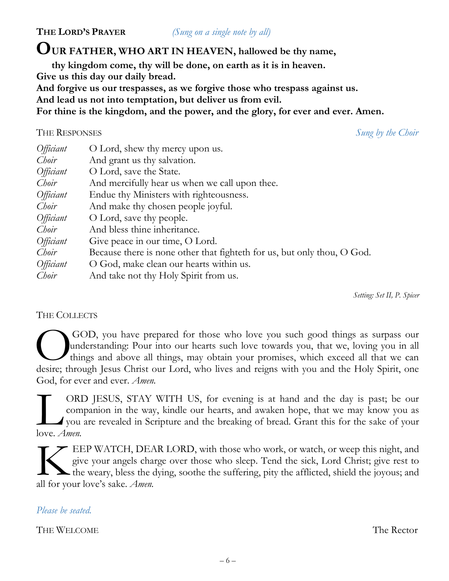**THE LORD'S PRAYER** *(Sung on a single note by all)*

### **OUR FATHER, WHO ART IN HEAVEN, hallowed be thy name,**

 **thy kingdom come, thy will be done, on earth as it is in heaven.**

**Give us this day our daily bread.**

**And forgive us our trespasses, as we forgive those who trespass against us.**

**And lead us not into temptation, but deliver us from evil.**

**For thine is the kingdom, and the power, and the glory, for ever and ever. Amen.**

#### THE RESPONSES *Sung by the Choir*

| <i>Officiant</i> | O Lord, shew thy mercy upon us.                                         |
|------------------|-------------------------------------------------------------------------|
| Choir            | And grant us thy salvation.                                             |
| <i>Officiant</i> | O Lord, save the State.                                                 |
| Choir            | And mercifully hear us when we call upon thee.                          |
| <i>Officiant</i> | Endue thy Ministers with righteousness.                                 |
| Choir            | And make thy chosen people joyful.                                      |
| Officiant        | O Lord, save thy people.                                                |
| Choir            | And bless thine inheritance.                                            |
| Officiant        | Give peace in our time, O Lord.                                         |
| Choir            | Because there is none other that fighteth for us, but only thou, O God. |
| <i>Officiant</i> | O God, make clean our hearts within us.                                 |
| Choir            | And take not thy Holy Spirit from us.                                   |

*Setting: Set II, P. Spicer*

#### THE COLLECTS

GOD, you have prepared for those who love you such good things as surpass our understanding: Pour into our hearts such love towards you, that we, loving you in all things and above all things, may obtain your promises, which exceed all that we can GOD, you have prepared for those who love you such good things as surpass our understanding: Pour into our hearts such love towards you, that we, loving you in all things and above all things, may obtain your promises, whi God, for ever and ever. *Amen.*

ORD JESUS, STAY WITH US, for evening is at hand and the day is past; be our companion in the way, kindle our hearts, and awaken hope, that we may know you as you are revealed in Scripture and the breaking of bread. Grant this for the sake of your **L**on com<br>
love. *Amen.* 

EEP WATCH, DEAR LORD, with those who work, or watch, or weep this night, and give your angels charge over those who sleep. Tend the sick, Lord Christ; give rest to the weary, bless the dying, soothe the suffering, pity the afflicted, shield the joyous; and EEP WATCH, DEA give your angels cha the weary, bless the call for your love's sake. *Amen.* 

#### *Please be seated.*

THE WELCOME THE Rector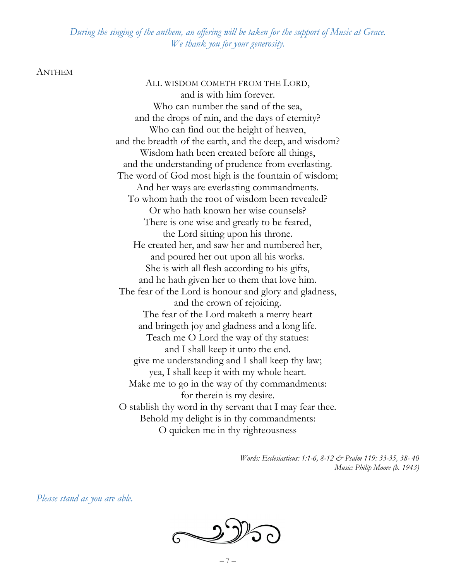*During the singing of the anthem, an offering will be taken for the support of Music at Grace. We thank you for your generosity.*

#### ANTHEM

ALL WISDOM COMETH FROM THE LORD, and is with him forever. Who can number the sand of the sea, and the drops of rain, and the days of eternity? Who can find out the height of heaven, and the breadth of the earth, and the deep, and wisdom? Wisdom hath been created before all things, and the understanding of prudence from everlasting. The word of God most high is the fountain of wisdom; And her ways are everlasting commandments. To whom hath the root of wisdom been revealed? Or who hath known her wise counsels? There is one wise and greatly to be feared, the Lord sitting upon his throne. He created her, and saw her and numbered her, and poured her out upon all his works. She is with all flesh according to his gifts, and he hath given her to them that love him. The fear of the Lord is honour and glory and gladness, and the crown of rejoicing. The fear of the Lord maketh a merry heart and bringeth joy and gladness and a long life. Teach me O Lord the way of thy statues: and I shall keep it unto the end. give me understanding and I shall keep thy law; yea, I shall keep it with my whole heart. Make me to go in the way of thy commandments: for therein is my desire. O stablish thy word in thy servant that I may fear thee. Behold my delight is in thy commandments: O quicken me in thy righteousness

> *Words: Ecclesiasticus: 1:1-6, 8-12 & Psalm 119: 33-35, 38- 40 Music: Philip Moore (b. 1943)*

*Please stand as you are able.*

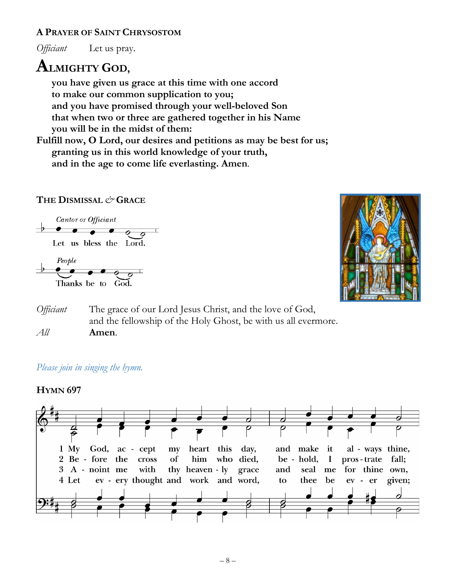#### **A PRAYER OF SAINT CHRYSOSTOM**

*Officiant* Let us pray.

### **ALMIGHTY <sup>G</sup>OD,**

 **you have given us grace at this time with one accord to make our common supplication to you; and you have promised through your well-beloved Son that when two or three are gathered together in his Name you will be in the midst of them:** 

**Fulfill now, O Lord, our desires and petitions as may be best for us; granting us in this world knowledge of your truth, and in the age to come life everlasting. Amen**.

#### **THE DISMISSAL** *&* **GRACE**





*Officiant* The grace of our Lord Jesus Christ, and the love of God, and the fellowship of the Holy Ghost, be with us all evermore. *All* **Amen**.

#### *Please join in singing the hymn.*

#### **HYMN 697**

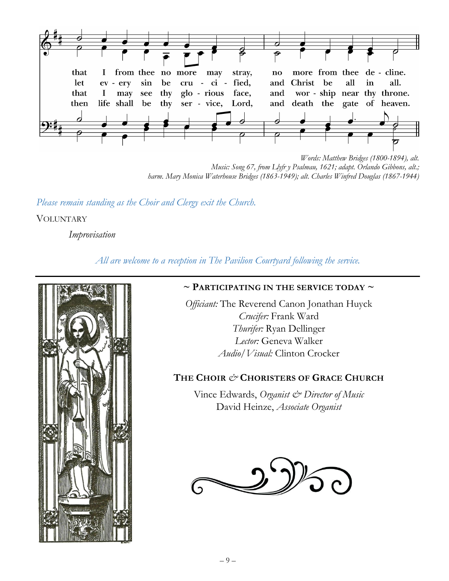

*Words: Matthew Bridges (1800-1894), alt. Music: Song 67, from Llyfr y Psalmau, 1621; adapt. Orlando Gibbons, alt.; harm. Mary Monica Waterhouse Bridges (1863-1949); alt. Charles Winfred Douglas (1867-1944)*

*Please remain standing as the Choir and Clergy exit the Church.*

**VOLUNTARY** 

*Improvisation*

*All are welcome to a reception in The Pavilion Courtyard following the service.*



#### **~ PARTICIPATING IN THE SERVICE TODAY ~**

*Officiant:* The Reverend Canon Jonathan Huyck *Crucifer:* Frank Ward *Thurifer:* Ryan Dellinger *Lector:* Geneva Walker *Audio/Visual:* Clinton Crocker

#### **THE CHOIR** *&* **CHORISTERS OF GRACE CHURCH**

Vince Edwards, *Organist & Director of Music* David Heinze, *Associate Organist*

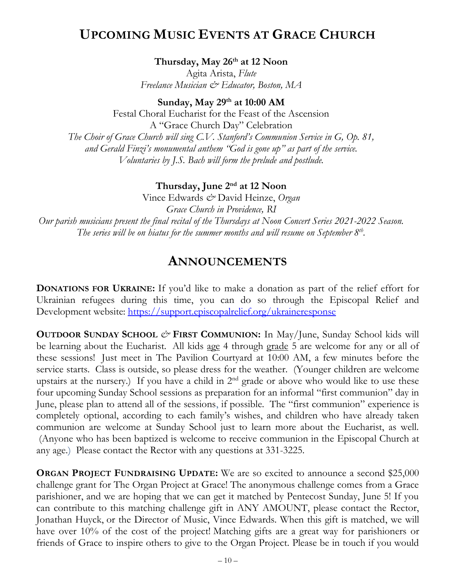### **UPCOMING MUSIC EVENTS AT GRACE CHURCH**

**Thursday, May 26th at 12 Noon**

Agita Arista, *Flute Freelance Musician & Educator, Boston, MA*

**Sunday, May 29th at 10:00 AM**

Festal Choral Eucharist for the Feast of the Ascension A "Grace Church Day" Celebration *The Choir of Grace Church will sing C.V. Stanford's Communion Service in G, Op. 81, and Gerald Finzi's monumental anthem "God is gone up" as part of the service. Voluntaries by J.S. Bach will form the prelude and postlude.*

#### **Thursday, June 2nd at 12 Noon**

Vince Edwards *&* David Heinze, *Organ Grace Church in Providence, RI Our parish musicians present the final recital of the Thursdays at Noon Concert Series 2021-2022 Season. The series will be on hiatus for the summer months and will resume on September 8th .*

### **ANNOUNCEMENTS**

**DONATIONS FOR UKRAINE:** If you'd like to make a donation as part of the relief effort for Ukrainian refugees during this time, you can do so through the Episcopal Relief and Development website:<https://support.episcopalrelief.org/ukraineresponse>

**OUTDOOR SUNDAY SCHOOL** *&* **FIRST COMMUNION:** In May/June, Sunday School kids will be learning about the Eucharist. All kids <u>age</u> 4 through grade 5 are welcome for any or all of these sessions! Just meet in The Pavilion Courtyard at 10:00 AM, a few minutes before the service starts. Class is outside, so please dress for the weather. (Younger children are welcome upstairs at the nursery.) If you have a child in 2<sup>nd</sup> grade or above who would like to use these four upcoming Sunday School sessions as preparation for an informal "first communion" day in June, please plan to attend all of the sessions, if possible. The "first communion" experience is completely optional, according to each family's wishes, and children who have already taken communion are welcome at Sunday School just to learn more about the Eucharist, as well. (Anyone who has been baptized is welcome to receive communion in the Episcopal Church at any age.) Please contact the Rector with any questions at 331-3225.

**ORGAN PROJECT FUNDRAISING UPDATE:** We are so excited to announce a second \$25,000 challenge grant for The Organ Project at Grace! The anonymous challenge comes from a Grace parishioner, and we are hoping that we can get it matched by Pentecost Sunday, June 5! If you can contribute to this matching challenge gift in ANY AMOUNT, please contact the Rector, Jonathan Huyck, or the Director of Music, Vince Edwards. When this gift is matched, we will have over 10% of the cost of the project! Matching gifts are a great way for parishioners or friends of Grace to inspire others to give to the Organ Project. Please be in touch if you would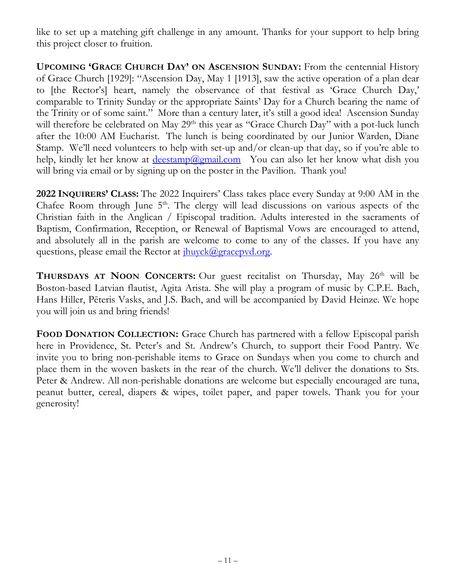like to set up a matching gift challenge in any amount. Thanks for your support to help bring this project closer to fruition.

**UPCOMING 'GRACE CHURCH DAY' ON ASCENSION SUNDAY:** From the centennial History of Grace Church [1929]: "Ascension Day, May 1 [1913], saw the active operation of a plan dear to [the Rector's] heart, namely the observance of that festival as 'Grace Church Day,' comparable to Trinity Sunday or the appropriate Saints' Day for a Church bearing the name of the Trinity or of some saint." More than a century later, it's still a good idea! Ascension Sunday will therefore be celebrated on May 29<sup>th</sup> this year as "Grace Church Day" with a pot-luck lunch after the 10:00 AM Eucharist. The lunch is being coordinated by our Junior Warden, Diane Stamp. We'll need volunteers to help with set-up and/or clean-up that day, so if you're able to help, kindly let her know at  $deestamp@gmail.com$  You can also let her know what dish you will bring via email or by signing up on the poster in the Pavilion. Thank you!

**2022 INQUIRERS' CLASS:** The 2022 Inquirers' Class takes place every Sunday at 9:00 AM in the Chafee Room through June  $5<sup>th</sup>$ . The clergy will lead discussions on various aspects of the Christian faith in the Anglican / Episcopal tradition. Adults interested in the sacraments of Baptism, Confirmation, Reception, or Renewal of Baptismal Vows are encouraged to attend, and absolutely all in the parish are welcome to come to any of the classes. If you have any questions, please email the Rector at  $\frac{i\hbar u v c k (Q) grace \text{pvd.org}}{i}$ .

**THURSDAYS AT NOON CONCERTS:** Our guest recitalist on Thursday, May 26th will be Boston-based Latvian flautist, Agita Arista. She will play a program of music by C.P.E. Bach, Hans Hiller, Pēteris Vasks, and J.S. Bach, and will be accompanied by David Heinze. We hope you will join us and bring friends!

**FOOD DONATION COLLECTION:** Grace Church has partnered with a fellow Episcopal parish here in Providence, St. Peter's and St. Andrew's Church, to support their Food Pantry. We invite you to bring non-perishable items to Grace on Sundays when you come to church and place them in the woven baskets in the rear of the church. We'll deliver the donations to Sts. Peter & Andrew. All non-perishable donations are welcome but especially encouraged are tuna, peanut butter, cereal, diapers & wipes, toilet paper, and paper towels. Thank you for your generosity!